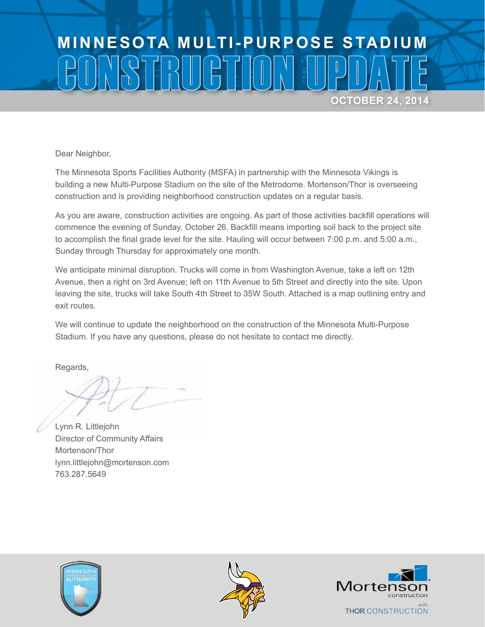## **MINNESOTA MULTI-PURPOSE STADIUM** CONSTRUCTION UPDATE **OCTOBER 24, 2014**

Dear Neighbor,

The Minnesota Sports Facilities Authority (MSFA) in partnership with the Minnesota Vikings is building a new Multi-Purpose Stadium on the site of the Metrodome. Mortenson/Thor is overseeing construction and is providing neighborhood construction updates on a regular basis.

As you are aware, construction activities are ongoing. As part of those activities backfill operations will commence the evening of Sunday, October 26. Backfill means importing soil back to the project site to accomplish the final grade level for the site. Hauling will occur between 7:00 p.m. and 5:00 a.m., Sunday through Thursday for approximately one month.

We anticipate minimal disruption. Trucks will come in from Washington Avenue, take a left on 12th Avenue, then a right on 3rd Avenue; left on 11th Avenue to 5th Street and directly into the site. Upon leaving the site, trucks will take South 4th Street to 35W South. Attached is a map outlining entry and exit routes.

We will continue to update the neighborhood on the construction of the Minnesota Multi-Purpose Stadium. If you have any questions, please do not hesitate to contact me directly.

Regards,

Lynn R. Littlejohn Director of Community Affairs Mortenson/Thor lynn.littlejohn@mortenson.com 763.287.5649